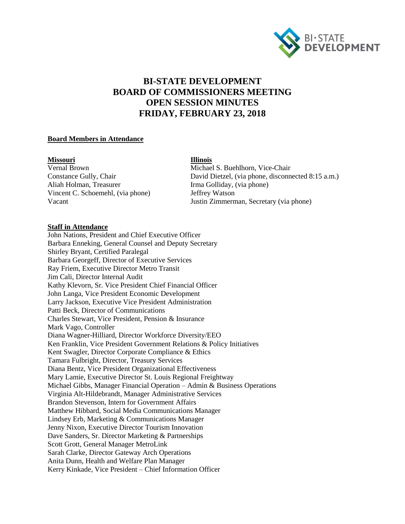

# **BI-STATE DEVELOPMENT BOARD OF COMMISSIONERS MEETING OPEN SESSION MINUTES FRIDAY, FEBRUARY 23, 2018**

### **Board Members in Attendance**

#### **Missouri Illinois**

Aliah Holman, Treasurer Irma Golliday, (via phone)<br>Vincent C. Schoemehl, (via phone) Jeffrey Watson Vincent C. Schoemehl, (via phone)

Vernal Brown Michael S. Buehlhorn, Vice-Chair Constance Gully, Chair David Dietzel, (via phone, disconnected 8:15 a.m.) Vacant Justin Zimmerman, Secretary (via phone)

# **Staff in Attendance**

John Nations, President and Chief Executive Officer Barbara Enneking, General Counsel and Deputy Secretary Shirley Bryant, Certified Paralegal Barbara Georgeff, Director of Executive Services Ray Friem, Executive Director Metro Transit Jim Cali, Director Internal Audit Kathy Klevorn, Sr. Vice President Chief Financial Officer John Langa, Vice President Economic Development Larry Jackson, Executive Vice President Administration Patti Beck, Director of Communications Charles Stewart, Vice President, Pension & Insurance Mark Vago, Controller Diana Wagner-Hilliard, Director Workforce Diversity/EEO Ken Franklin, Vice President Government Relations & Policy Initiatives Kent Swagler, Director Corporate Compliance & Ethics Tamara Fulbright, Director, Treasury Services Diana Bentz, Vice President Organizational Effectiveness Mary Lamie, Executive Director St. Louis Regional Freightway Michael Gibbs, Manager Financial Operation – Admin & Business Operations Virginia Alt-Hildebrandt, Manager Administrative Services Brandon Stevenson, Intern for Government Affairs Matthew Hibbard, Social Media Communications Manager Lindsey Erb, Marketing & Communications Manager Jenny Nixon, Executive Director Tourism Innovation Dave Sanders, Sr. Director Marketing & Partnerships Scott Grott, General Manager MetroLink Sarah Clarke, Director Gateway Arch Operations Anita Dunn, Health and Welfare Plan Manager Kerry Kinkade, Vice President – Chief Information Officer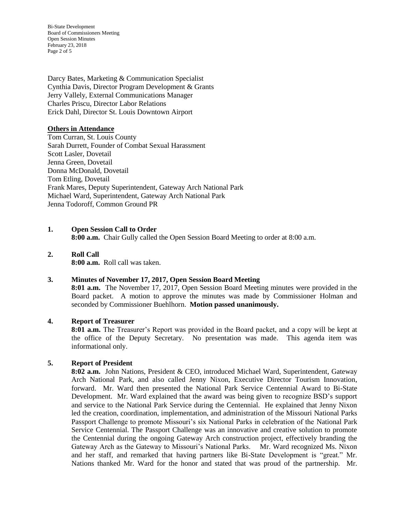Bi-State Development Board of Commissioners Meeting Open Session Minutes February 23, 2018 Page 2 of 5

Darcy Bates, Marketing & Communication Specialist Cynthia Davis, Director Program Development & Grants Jerry Vallely, External Communications Manager Charles Priscu, Director Labor Relations Erick Dahl, Director St. Louis Downtown Airport

# **Others in Attendance**

Tom Curran, St. Louis County Sarah Durrett, Founder of Combat Sexual Harassment Scott Lasler, Dovetail Jenna Green, Dovetail Donna McDonald, Dovetail Tom Etling, Dovetail Frank Mares, Deputy Superintendent, Gateway Arch National Park Michael Ward, Superintendent, Gateway Arch National Park Jenna Todoroff, Common Ground PR

# **1. Open Session Call to Order**

**8:00 a.m.** Chair Gully called the Open Session Board Meeting to order at 8:00 a.m.

# **2. Roll Call 8:00 a.m.** Roll call was taken.

#### **3. Minutes of November 17, 2017, Open Session Board Meeting**

**8:01 a.m.** The November 17, 2017, Open Session Board Meeting minutes were provided in the Board packet. A motion to approve the minutes was made by Commissioner Holman and seconded by Commissioner Buehlhorn. **Motion passed unanimously.** 

#### **4. Report of Treasurer**

**8:01 a.m.** The Treasurer's Report was provided in the Board packet, and a copy will be kept at the office of the Deputy Secretary. No presentation was made. This agenda item was informational only.

#### **5. Report of President**

**8:02 a.m.** John Nations, President & CEO, introduced Michael Ward, Superintendent, Gateway Arch National Park, and also called Jenny Nixon, Executive Director Tourism Innovation, forward. Mr. Ward then presented the National Park Service Centennial Award to Bi-State Development. Mr. Ward explained that the award was being given to recognize BSD's support and service to the National Park Service during the Centennial. He explained that Jenny Nixon led the creation, coordination, implementation, and administration of the Missouri National Parks Passport Challenge to promote Missouri's six National Parks in celebration of the National Park Service Centennial. The Passport Challenge was an innovative and creative solution to promote the Centennial during the ongoing Gateway Arch construction project, effectively branding the Gateway Arch as the Gateway to Missouri's National Parks. Mr. Ward recognized Ms. Nixon and her staff, and remarked that having partners like Bi-State Development is "great." Mr. Nations thanked Mr. Ward for the honor and stated that was proud of the partnership. Mr.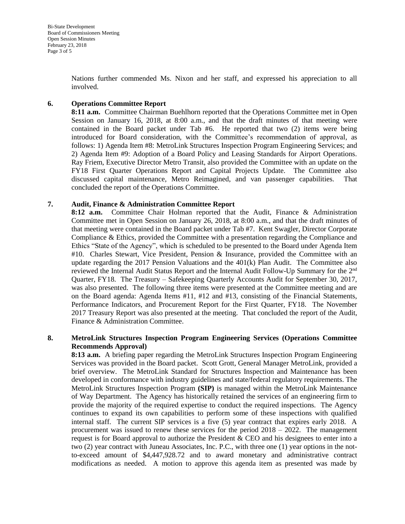Nations further commended Ms. Nixon and her staff, and expressed his appreciation to all involved.

# **6. Operations Committee Report**

**8:11 a.m.** Committee Chairman Buehlhorn reported that the Operations Committee met in Open Session on January 16, 2018, at 8:00 a.m., and that the draft minutes of that meeting were contained in the Board packet under Tab #6. He reported that two (2) items were being introduced for Board consideration, with the Committee's recommendation of approval, as follows: 1) Agenda Item #8: MetroLink Structures Inspection Program Engineering Services; and 2) Agenda Item #9: Adoption of a Board Policy and Leasing Standards for Airport Operations. Ray Friem, Executive Director Metro Transit, also provided the Committee with an update on the FY18 First Quarter Operations Report and Capital Projects Update. The Committee also discussed capital maintenance, Metro Reimagined, and van passenger capabilities. That concluded the report of the Operations Committee.

# **7. Audit, Finance & Administration Committee Report**

**8:12 a.m.** Committee Chair Holman reported that the Audit, Finance & Administration Committee met in Open Session on January 26, 2018, at 8:00 a.m., and that the draft minutes of that meeting were contained in the Board packet under Tab #7. Kent Swagler, Director Corporate Compliance & Ethics, provided the Committee with a presentation regarding the Compliance and Ethics "State of the Agency", which is scheduled to be presented to the Board under Agenda Item #10. Charles Stewart, Vice President, Pension & Insurance, provided the Committee with an update regarding the 2017 Pension Valuations and the 401(k) Plan Audit. The Committee also reviewed the Internal Audit Status Report and the Internal Audit Follow-Up Summary for the 2nd Quarter, FY18. The Treasury – Safekeeping Quarterly Accounts Audit for September 30, 2017, was also presented. The following three items were presented at the Committee meeting and are on the Board agenda: Agenda Items #11, #12 and #13, consisting of the Financial Statements, Performance Indicators, and Procurement Report for the First Quarter, FY18. The November 2017 Treasury Report was also presented at the meeting. That concluded the report of the Audit, Finance & Administration Committee.

# **8. MetroLink Structures Inspection Program Engineering Services (Operations Committee Recommends Approval)**

**8:13 a.m.** A briefing paper regarding the MetroLink Structures Inspection Program Engineering Services was provided in the Board packet. Scott Grott, General Manager MetroLink, provided a brief overview. The MetroLink Standard for Structures Inspection and Maintenance has been developed in conformance with industry guidelines and state/federal regulatory requirements. The MetroLink Structures Inspection Program **(SIP)** is managed within the MetroLink Maintenance of Way Department. The Agency has historically retained the services of an engineering firm to provide the majority of the required expertise to conduct the required inspections. The Agency continues to expand its own capabilities to perform some of these inspections with qualified internal staff. The current SIP services is a five (5) year contract that expires early 2018. A procurement was issued to renew these services for the period  $2018 - 2022$ . The management request is for Board approval to authorize the President  $&$  CEO and his designees to enter into a two (2) year contract with Juneau Associates, Inc. P.C., with three one (1) year options in the notto-exceed amount of \$4,447,928.72 and to award monetary and administrative contract modifications as needed. A motion to approve this agenda item as presented was made by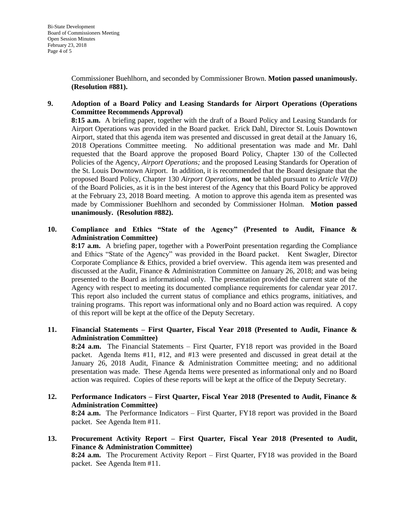Commissioner Buehlhorn, and seconded by Commissioner Brown. **Motion passed unanimously. (Resolution #881).**

# **9. Adoption of a Board Policy and Leasing Standards for Airport Operations (Operations Committee Recommends Approval)**

**8:15 a.m.** A briefing paper, together with the draft of a Board Policy and Leasing Standards for Airport Operations was provided in the Board packet. Erick Dahl, Director St. Louis Downtown Airport, stated that this agenda item was presented and discussed in great detail at the January 16, 2018 Operations Committee meeting. No additional presentation was made and Mr. Dahl requested that the Board approve the proposed Board Policy, Chapter 130 of the Collected Policies of the Agency, *Airport Operations;* and the proposed Leasing Standards for Operation of the St. Louis Downtown Airport. In addition, it is recommended that the Board designate that the proposed Board Policy, Chapter 130 *Airport Operations,* **not** be tabled pursuant to *Article VI(D)*  of the Board Policies, as it is in the best interest of the Agency that this Board Policy be approved at the February 23, 2018 Board meeting. A motion to approve this agenda item as presented was made by Commissioner Buehlhorn and seconded by Commissioner Holman. **Motion passed unanimously. (Resolution #882).** 

# **10. Compliance and Ethics "State of the Agency" (Presented to Audit, Finance & Administration Committee)**

**8:17 a.m.** A briefing paper, together with a PowerPoint presentation regarding the Compliance and Ethics "State of the Agency" was provided in the Board packet. Kent Swagler, Director Corporate Compliance & Ethics, provided a brief overview. This agenda item was presented and discussed at the Audit, Finance & Administration Committee on January 26, 2018; and was being presented to the Board as informational only. The presentation provided the current state of the Agency with respect to meeting its documented compliance requirements for calendar year 2017. This report also included the current status of compliance and ethics programs, initiatives, and training programs. This report was informational only and no Board action was required. A copy of this report will be kept at the office of the Deputy Secretary.

# **11. Financial Statements – First Quarter, Fiscal Year 2018 (Presented to Audit, Finance & Administration Committee)**

**8:24 a.m.** The Financial Statements – First Quarter, FY18 report was provided in the Board packet. Agenda Items #11, #12, and #13 were presented and discussed in great detail at the January 26, 2018 Audit, Finance & Administration Committee meeting; and no additional presentation was made. These Agenda Items were presented as informational only and no Board action was required. Copies of these reports will be kept at the office of the Deputy Secretary.

- **12. Performance Indicators – First Quarter, Fiscal Year 2018 (Presented to Audit, Finance & Administration Committee) 8:24 a.m.** The Performance Indicators – First Quarter, FY18 report was provided in the Board packet. See Agenda Item #11.
- **13. Procurement Activity Report – First Quarter, Fiscal Year 2018 (Presented to Audit, Finance & Administration Committee) 8:24 a.m.** The Procurement Activity Report – First Quarter, FY18 was provided in the Board packet. See Agenda Item #11.